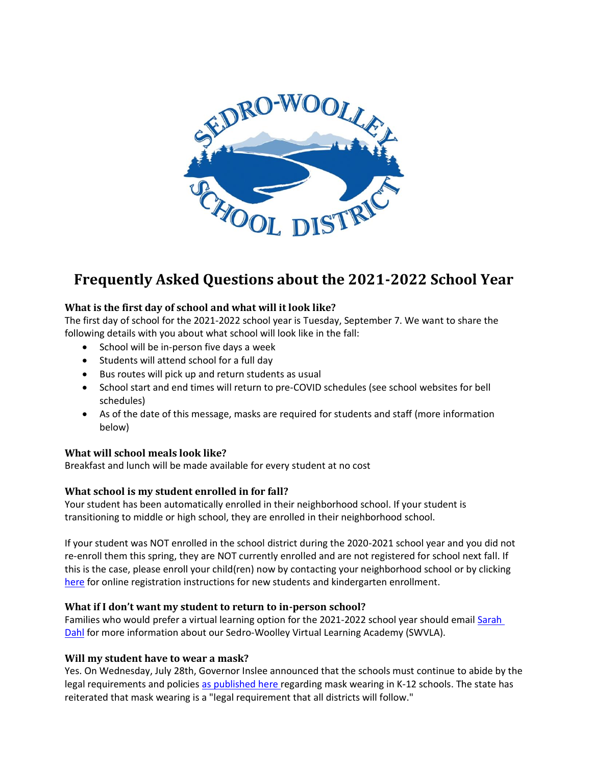

# **Frequently Asked Questions about the 2021-2022 School Year**

# **What is the first day of school and what will it look like?**

The first day of school for the 2021-2022 school year is Tuesday, September 7. We want to share the following details with you about what school will look like in the fall:

- School will be in-person five days a week
- Students will attend school for a full day
- Bus routes will pick up and return students as usual
- School start and end times will return to pre-COVID schedules (see school websites for bell schedules)
- As of the date of this message, masks are required for students and staff (more information below)

# **What will school meals look like?**

Breakfast and lunch will be made available for every student at no cost

# **What school is my student enrolled in for fall?**

Your student has been automatically enrolled in their neighborhood school. If your student is transitioning to middle or high school, they are enrolled in their neighborhood school.

If your student was NOT enrolled in the school district during the 2020-2021 school year and you did not re-enroll them this spring, they are NOT currently enrolled and are not registered for school next fall. If this is the case, please enroll your child(ren) now by contacting your neighborhood school or by clicking [here](https://www2.nwrdc.wa-k12.net/scripts/cgiip.exe/WService=wsedros71/skyenroll) for online registration instructions for new students and kindergarten enrollment.

#### **What if I don't want my student to return to in-person school?**

Families who would prefer a virtual learning option for the 2021-2022 school year should email [Sarah](mailto:sdahl@swsd101.org?subject=Virtual%20Academy)  [Dahl](mailto:sdahl@swsd101.org?subject=Virtual%20Academy) for more information about our Sedro-Woolley Virtual Learning Academy (SWVLA).

#### **Will my student have to wear a mask?**

Yes. On Wednesday, July 28th, Governor Inslee announced that the schools must continue to abide by the legal requirements and policies [as published here r](https://www.doh.wa.gov/Portals/1/Documents/1600/coronavirus/820-105-K12Schools2021-2022.pdf)egarding mask wearing in K-12 schools. The state has reiterated that mask wearing is a "legal requirement that all districts will follow."